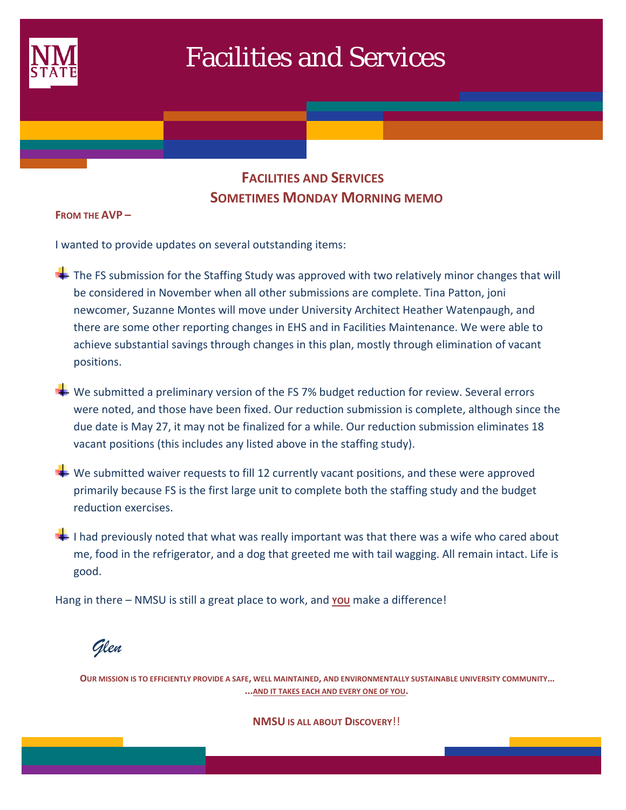

# Facilities and Services

# **FACILITIES AND SERVICES SOMETIMES MONDAY MORNING MEMO**

**FROM THE AVP –**

I wanted to provide updates on several outstanding items:

 $\frac{1}{2}$  The FS submission for the Staffing Study was approved with two relatively minor changes that will be considered in November when all other submissions are complete. Tina Patton, joni newcomer, Suzanne Montes will move under University Architect Heather Watenpaugh, and there are some other reporting changes in EHS and in Facilities Maintenance. We were able to achieve substantial savings through changes in this plan, mostly through elimination of vacant positions.

We submitted a preliminary version of the FS 7% budget reduction for review. Several errors were noted, and those have been fixed. Our reduction submission is complete, although since the due date is May 27, it may not be finalized for a while. Our reduction submission eliminates 18 vacant positions (this includes any listed above in the staffing study).

 $\div$  We submitted waiver requests to fill 12 currently vacant positions, and these were approved primarily because FS is the first large unit to complete both the staffing study and the budget reduction exercises.

 $\blacksquare$  I had previously noted that what was really important was that there was a wife who cared about me, food in the refrigerator, and a dog that greeted me with tail wagging. All remain intact. Life is good.

Hang in there – NMSU is still a great place to work, and **YOU** make a difference!



**OUR MISSION IS TO EFFICIENTLY PROVIDE A SAFE, WELL MAINTAINED, AND ENVIRONMENTALLY SUSTAINABLE UNIVERSITY COMMUNITY… ...AND IT TAKES EACH AND EVERY ONE OF YOU.**

**NMSU IS ALL ABOUT DISCOVERY**!!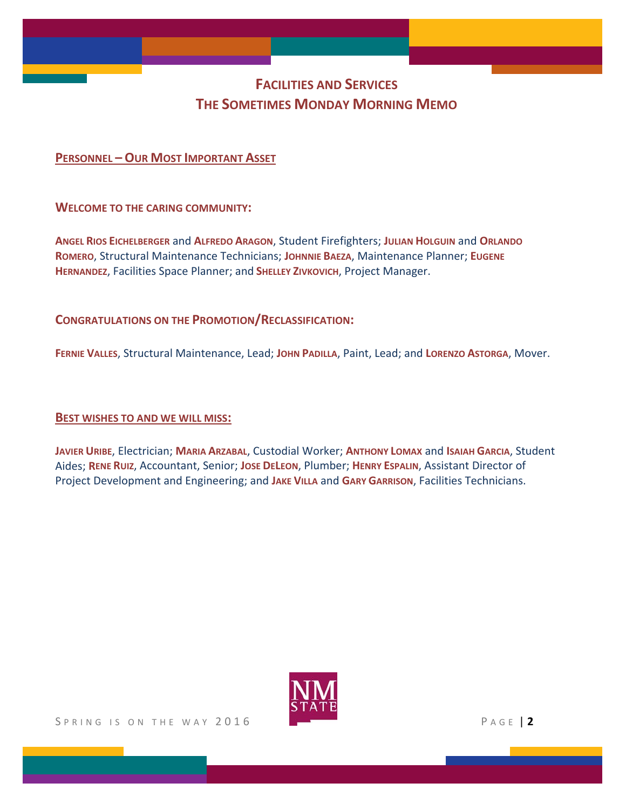# **FACILITIES AND SERVICES THE SOMETIMES MONDAY MORNING MEMO**

# **PERSONNEL – OUR MOST IMPORTANT ASSET**

**WELCOME TO THE CARING COMMUNITY:**

**ANGEL RIOS EICHELBERGER** and **ALFREDO ARAGON**, Student Firefighters; **JULIAN HOLGUIN** and **ORLANDO ROMERO**, Structural Maintenance Technicians; **JOHNNIE BAEZA**, Maintenance Planner; **EUGENE HERNANDEZ**, Facilities Space Planner; and **SHELLEY ZIVKOVICH**, Project Manager.

## **CONGRATULATIONS ON THE PROMOTION/RECLASSIFICATION:**

**FERNIE VALLES**, Structural Maintenance, Lead; **JOHN PADILLA**, Paint, Lead; and **LORENZO ASTORGA**, Mover.

**BEST WISHES TO AND WE WILL MISS:**

**JAVIER URIBE**, Electrician; **MARIA ARZABAL**, Custodial Worker; **ANTHONY LOMAX** and **ISAIAH GARCIA**, Student Aides; **RENE RUIZ**, Accountant, Senior; **JOSE DELEON**, Plumber; **HENRY ESPALIN**, Assistant Director of Project Development and Engineering; and **JAKE VILLA** and **GARY GARRISON**, Facilities Technicians.

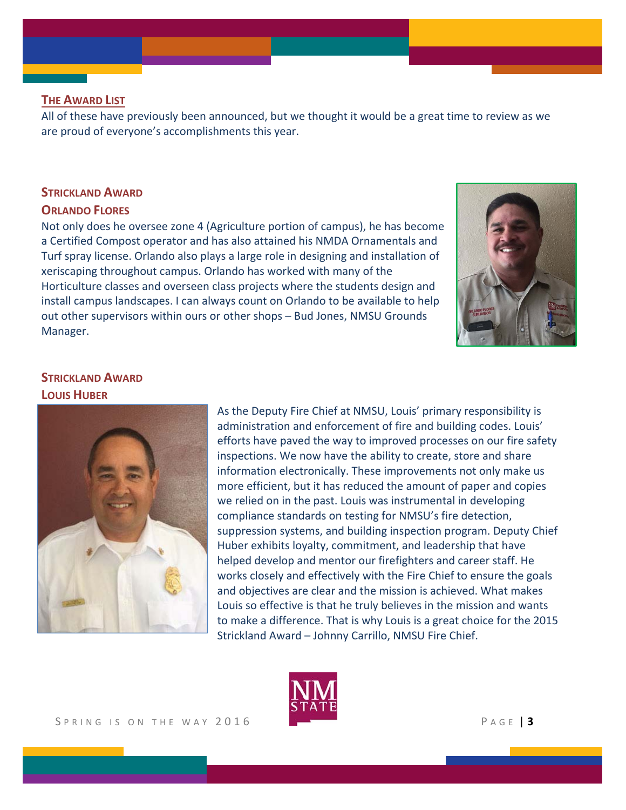## **THE AWARD LIST**

All of these have previously been announced, but we thought it would be a great time to review as we are proud of everyone's accomplishments this year.

# **STRICKLAND AWARD**

#### **ORLANDO FLORES**

Not only does he oversee zone 4 (Agriculture portion of campus), he has become a Certified Compost operator and has also attained his NMDA Ornamentals and Turf spray license. Orlando also plays a large role in designing and installation of xeriscaping throughout campus. Orlando has worked with many of the Horticulture classes and overseen class projects where the students design and install campus landscapes. I can always count on Orlando to be available to help out other supervisors within ours or other shops – Bud Jones, NMSU Grounds Manager.



# **STRICKLAND AWARD LOUIS HUBER**



As the Deputy Fire Chief at NMSU, Louis' primary responsibility is administration and enforcement of fire and building codes. Louis' efforts have paved the way to improved processes on our fire safety inspections. We now have the ability to create, store and share information electronically. These improvements not only make us more efficient, but it has reduced the amount of paper and copies we relied on in the past. Louis was instrumental in developing compliance standards on testing for NMSU's fire detection, suppression systems, and building inspection program. Deputy Chief Huber exhibits loyalty, commitment, and leadership that have helped develop and mentor our firefighters and career staff. He works closely and effectively with the Fire Chief to ensure the goals and objectives are clear and the mission is achieved. What makes Louis so effective is that he truly believes in the mission and wants to make a difference. That is why Louis is a great choice for the 2015 Strickland Award – Johnny Carrillo, NMSU Fire Chief.

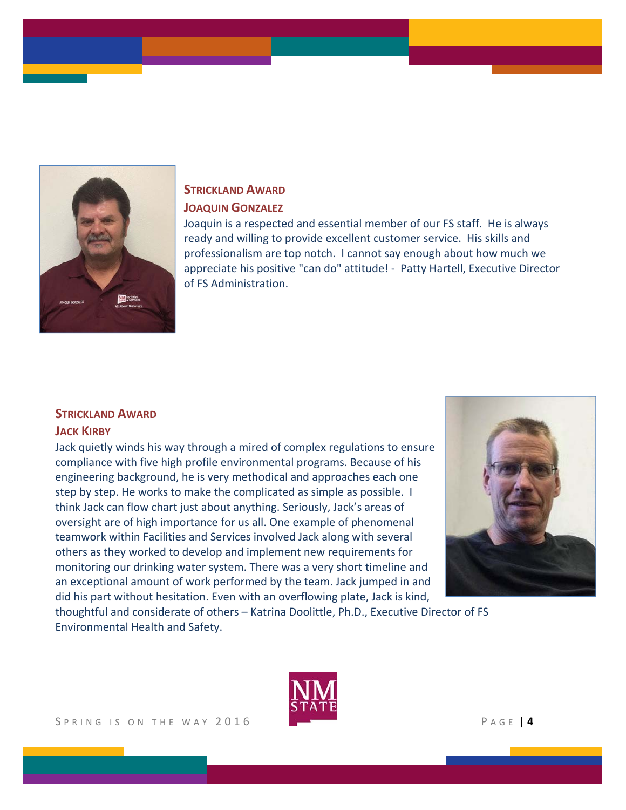

## **STRICKLAND AWARD JOAQUIN GONZALEZ**

Joaquin is a respected and essential member of our FS staff. He is always ready and willing to provide excellent customer service. His skills and professionalism are top notch. I cannot say enough about how much we appreciate his positive "can do" attitude! ‐ Patty Hartell, Executive Director of FS Administration.

## **STRICKLAND AWARD**

#### **JACK KIRBY**

Jack quietly winds his way through a mired of complex regulations to ensure compliance with five high profile environmental programs. Because of his engineering background, he is very methodical and approaches each one step by step. He works to make the complicated as simple as possible. I think Jack can flow chart just about anything. Seriously, Jack's areas of oversight are of high importance for us all. One example of phenomenal teamwork within Facilities and Services involved Jack along with several others as they worked to develop and implement new requirements for monitoring our drinking water system. There was a very short timeline and an exceptional amount of work performed by the team. Jack jumped in and did his part without hesitation. Even with an overflowing plate, Jack is kind,



thoughtful and considerate of others – Katrina Doolittle, Ph.D., Executive Director of FS Environmental Health and Safety.

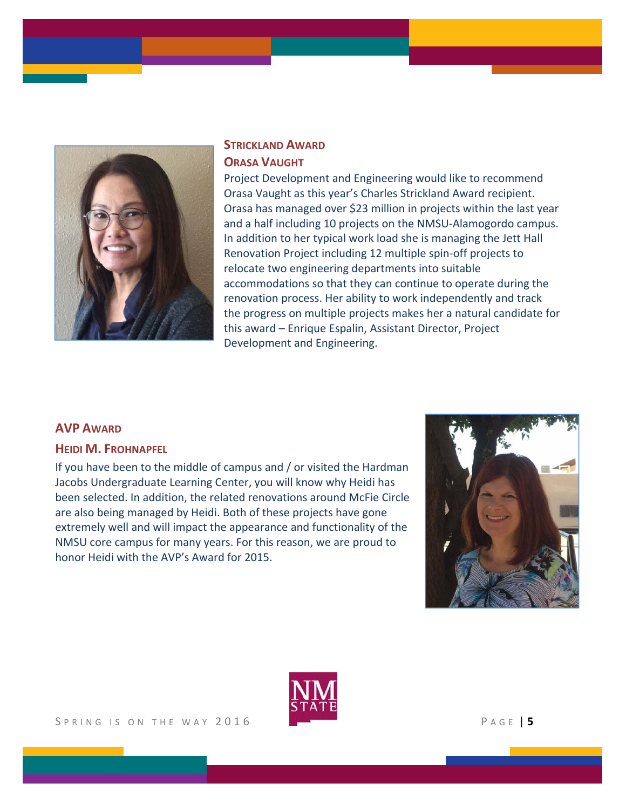

# **STRICKLAND AWARD ORASA VAUGHT**

Project Development and Engineering would like to recommend Orasa Vaught as this year's Charles Strickland Award recipient. Orasa has managed over \$23 million in projects within the last year and a half including 10 projects on the NMSU‐Alamogordo campus. In addition to her typical work load she is managing the Jett Hall Renovation Project including 12 multiple spin‐off projects to relocate two engineering departments into suitable accommodations so that they can continue to operate during the renovation process. Her ability to work independently and track the progress on multiple projects makes her a natural candidate for this award – Enrique Espalin, Assistant Director, Project Development and Engineering.

#### **AVP AWARD**

#### **HEIDI M. FROHNAPFEL**

If you have been to the middle of campus and / or visited the Hardman Jacobs Undergraduate Learning Center, you will know why Heidi has been selected. In addition, the related renovations around McFie Circle are also being managed by Heidi. Both of these projects have gone extremely well and will impact the appearance and functionality of the NMSU core campus for many years. For this reason, we are proud to honor Heidi with the AVP's Award for 2015.



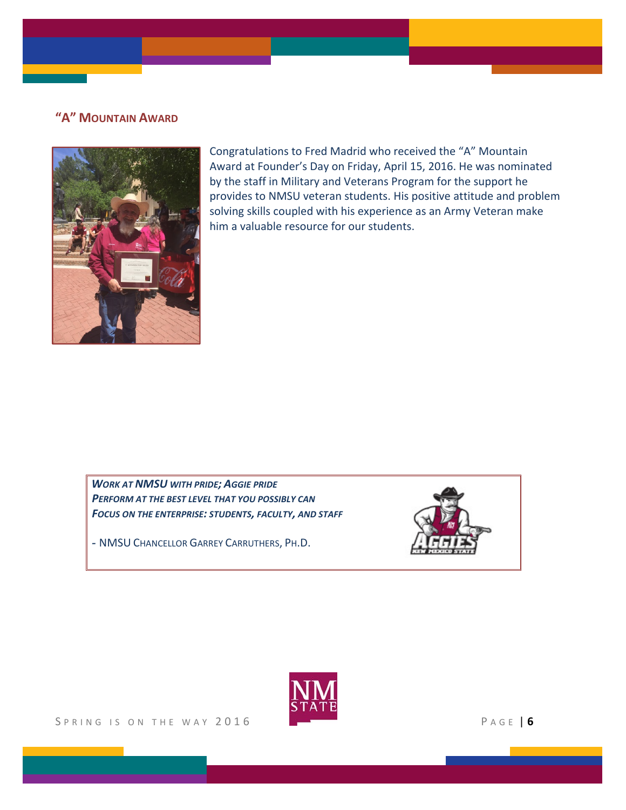# **"A" MOUNTAIN AWARD**



Congratulations to Fred Madrid who received the "A" Mountain Award at Founder's Day on Friday, April 15, 2016. He was nominated by the staff in Military and Veterans Program for the support he provides to NMSU veteran students. His positive attitude and problem solving skills coupled with his experience as an Army Veteran make him a valuable resource for our students.

*WORK AT NMSU WITH PRIDE; AGGIE PRIDE PERFORM AT THE BEST LEVEL THAT YOU POSSIBLY CAN FOCUS ON THE ENTERPRISE: STUDENTS, FACULTY, AND STAFF*

*-* NMSU CHANCELLOR GARREY CARRUTHERS, PH.D.



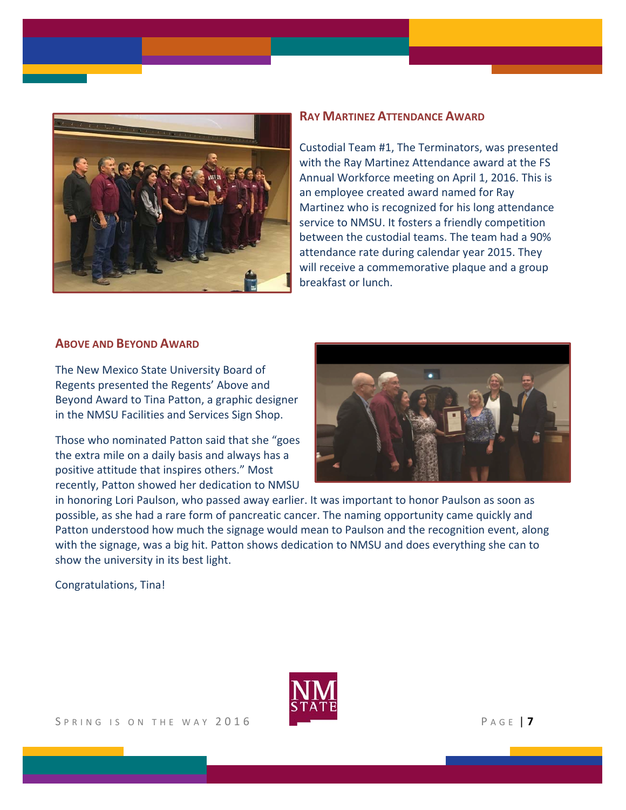

#### **RAY MARTINEZ ATTENDANCE AWARD**

Custodial Team #1, The Terminators, was presented with the Ray Martinez Attendance award at the FS Annual Workforce meeting on April 1, 2016. This is an employee created award named for Ray Martinez who is recognized for his long attendance service to NMSU. It fosters a friendly competition between the custodial teams. The team had a 90% attendance rate during calendar year 2015. They will receive a commemorative plaque and a group breakfast or lunch.

#### **ABOVE AND BEYOND AWARD**

The New Mexico State University Board of Regents presented the Regents' Above and Beyond Award to Tina Patton, a graphic designer in the NMSU Facilities and Services Sign Shop.

Those who nominated Patton said that she "goes the extra mile on a daily basis and always has a positive attitude that inspires others." Most recently, Patton showed her dedication to NMSU



in honoring Lori Paulson, who passed away earlier. It was important to honor Paulson as soon as possible, as she had a rare form of pancreatic cancer. The naming opportunity came quickly and Patton understood how much the signage would mean to Paulson and the recognition event, along with the signage, was a big hit. Patton shows dedication to NMSU and does everything she can to show the university in its best light.

Congratulations, Tina!

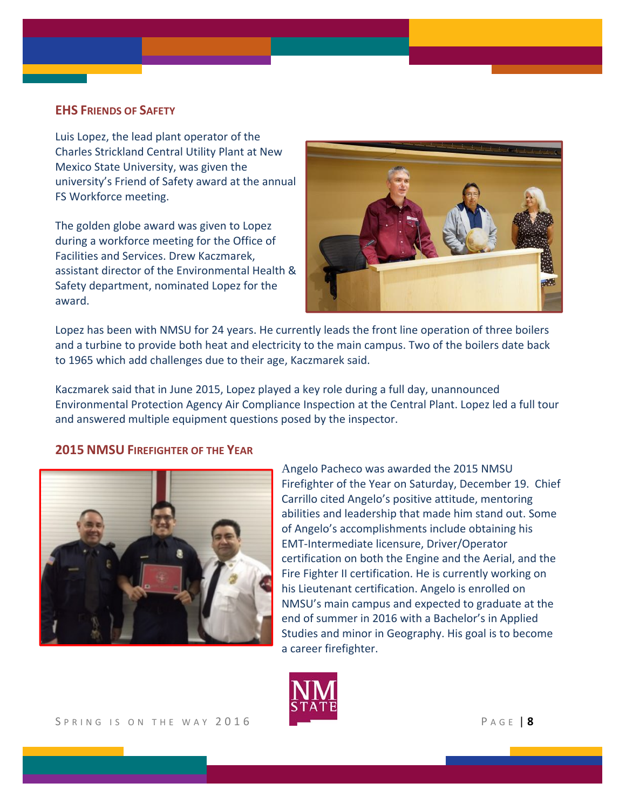#### **EHS FRIENDS OF SAFETY**

Luis Lopez, the lead plant operator of the Charles Strickland Central Utility Plant at New Mexico State University, was given the university's Friend of Safety award at the annual FS Workforce meeting.

The golden globe award was given to Lopez during a workforce meeting for the Office of Facilities and Services. Drew Kaczmarek, assistant director of the Environmental Health & Safety department, nominated Lopez for the award.



Lopez has been with NMSU for 24 years. He currently leads the front line operation of three boilers and a turbine to provide both heat and electricity to the main campus. Two of the boilers date back to 1965 which add challenges due to their age, Kaczmarek said.

Kaczmarek said that in June 2015, Lopez played a key role during a full day, unannounced Environmental Protection Agency Air Compliance Inspection at the Central Plant. Lopez led a full tour and answered multiple equipment questions posed by the inspector.

#### **2015 NMSU FIREFIGHTER OF THE YEAR**



Angelo Pacheco was awarded the 2015 NMSU Firefighter of the Year on Saturday, December 19. Chief Carrillo cited Angelo's positive attitude, mentoring abilities and leadership that made him stand out. Some of Angelo's accomplishments include obtaining his EMT‐Intermediate licensure, Driver/Operator certification on both the Engine and the Aerial, and the Fire Fighter II certification. He is currently working on his Lieutenant certification. Angelo is enrolled on NMSU's main campus and expected to graduate at the end of summer in 2016 with a Bachelor's in Applied Studies and minor in Geography. His goal is to become a career firefighter.